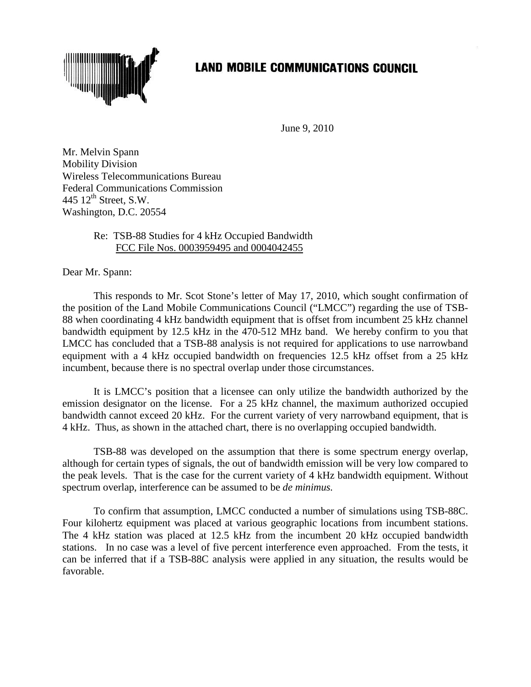

## **LAND MOBILE COMMUNICATIONS COUNCIL**

June 9, 2010

Mr. Melvin Spann Mobility Division Wireless Telecommunications Bureau Federal Communications Commission 445  $12^{th}$  Street, S.W. Washington, D.C. 20554

## Re: TSB-88 Studies for 4 kHz Occupied Bandwidth FCC File Nos. 0003959495 and 0004042455

Dear Mr. Spann:

This responds to Mr. Scot Stone's letter of May 17, 2010, which sought confirmation of the position of the Land Mobile Communications Council ("LMCC") regarding the use of TSB-88 when coordinating 4 kHz bandwidth equipment that is offset from incumbent 25 kHz channel bandwidth equipment by 12.5 kHz in the 470-512 MHz band. We hereby confirm to you that LMCC has concluded that a TSB-88 analysis is not required for applications to use narrowband equipment with a 4 kHz occupied bandwidth on frequencies 12.5 kHz offset from a 25 kHz incumbent, because there is no spectral overlap under those circumstances.

It is LMCC's position that a licensee can only utilize the bandwidth authorized by the emission designator on the license. For a 25 kHz channel, the maximum authorized occupied bandwidth cannot exceed 20 kHz. For the current variety of very narrowband equipment, that is 4 kHz. Thus, as shown in the attached chart, there is no overlapping occupied bandwidth.

TSB-88 was developed on the assumption that there is some spectrum energy overlap, although for certain types of signals, the out of bandwidth emission will be very low compared to the peak levels. That is the case for the current variety of 4 kHz bandwidth equipment. Without spectrum overlap, interference can be assumed to be *de minimus.*

To confirm that assumption, LMCC conducted a number of simulations using TSB-88C. Four kilohertz equipment was placed at various geographic locations from incumbent stations. The 4 kHz station was placed at 12.5 kHz from the incumbent 20 kHz occupied bandwidth stations. In no case was a level of five percent interference even approached. From the tests, it can be inferred that if a TSB-88C analysis were applied in any situation, the results would be favorable.